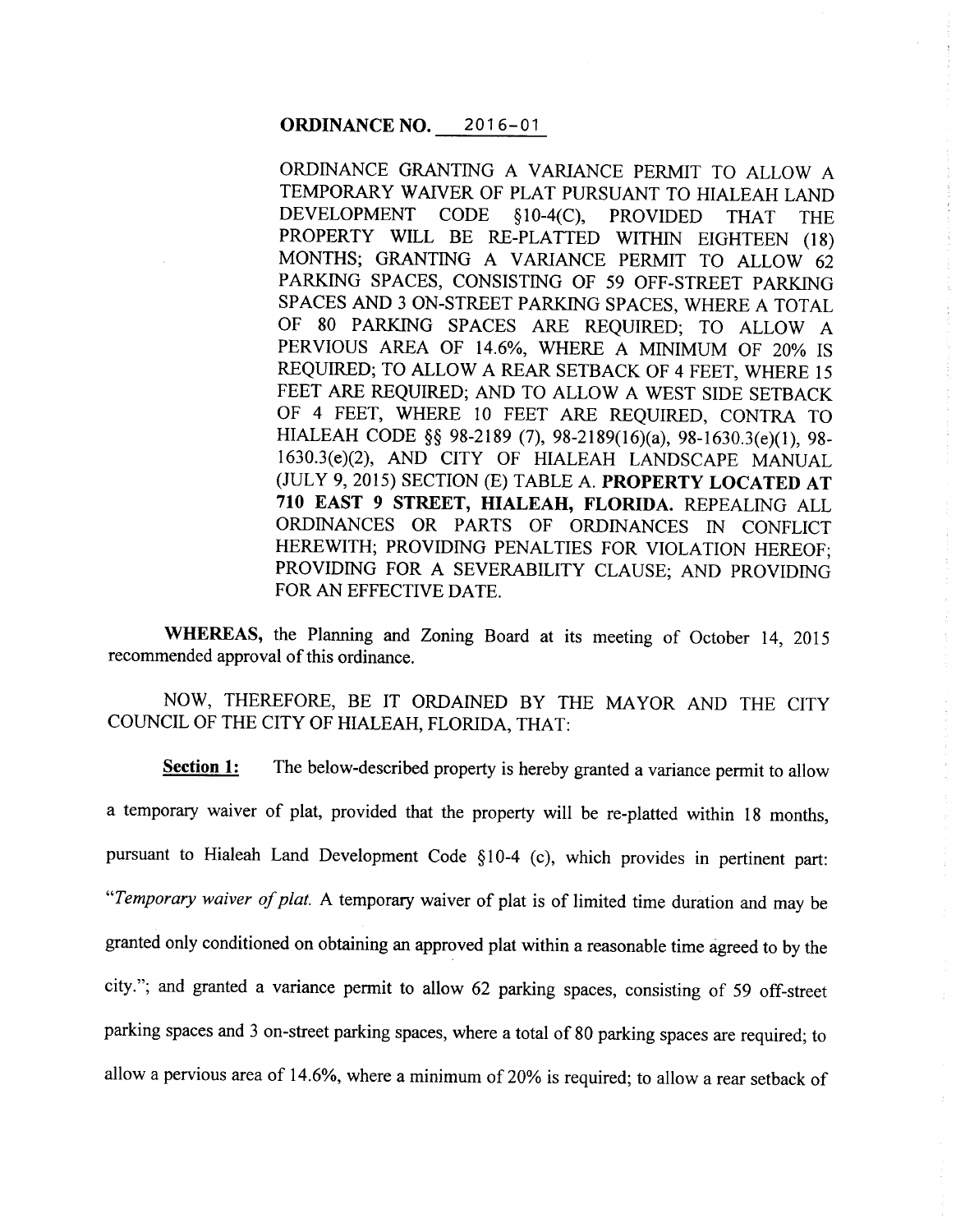## **ORDINANCE NO.** 2016-01

ORDINANCE GRANTING A VARIANCE PERMIT TO ALLOW A TEMPORARY WAIVER OF PLAT PURSUANT TO HIALEAH LAND DEVELOPMENT CODE §10-4(C), PROVIDED THAT THE PROPERTY WILL BE RE-PLATTED WITHIN EIGHTEEN (18) MONTHS; GRANTING A VARIANCE PERMIT TO ALLOW 62 PARKING SPACES, CONSISTING OF 59 OFF-STREET PARKING SPACES AND 3 ON-STREET PARKING SPACES, WHERE A TOTAL OF 80 PARKING SPACES ARE REQUIRED; TO ALLOW A PERVIOUS AREA OF 14.6%, WHERE A MINIMUM OF 20% IS REQUIRED; TO ALLOW A REAR SETBACK OF 4 FEET, WHERE <sup>15</sup> FEET ARE REQUIRED; AND TO ALLOW A WEST SIDE SETBACK OF 4 FEET, WHERE 10 FEET ARE REQUIRED, CONTRA TO HIALEAH CODE §§ 98-2189 (7), 98-2189(16)(a), 98-1630.3(e)(1), 98- 1630.3(e)(2), AND CITY OF HIALEAH LANDSCAPE MANUAL (JULY 9, 2015) SECTION (E) TABLE A. **PROPERTY LOCATED AT 710 EAST 9 STREET, HIALEAH, FLORIDA.** REPEALING ALL ORDINANCES OR PARTS OF ORDINANCES IN CONFLICT HEREWITH; PROVIDING PENALTIES FOR VIOLATION HEREOF; PROVIDING FOR A SEVERABILITY CLAUSE; AND PROVIDING FOR AN EFFECTIVE DATE.

**WHEREAS,** the Planning and Zoning Board at its meeting of October 14, 2015 recommended approval of this ordinance.

NOW, THEREFORE, BE IT ORDAINED BY THE MAYOR AND THE CITY COUNCIL OF THE CITY OF HIALEAH, FLORIDA, THAT:

**Section 1:** The below-described property is hereby granted a variance permit to allow a temporary waiver of plat, provided that the property will be re-platted within <sup>18</sup>months, pursuant to Hialeah Land Development Code §10-4 (c), which provides in pertinent part: *"Temporary waiver of plat.* A temporary waiver of plat is of limited time duration and may be granted only conditioned on obtaining an approved plat within a reasonable time agreed to by the city."; and granted a variance permit to allow 62 parking spaces, consisting of 59 off-street parking spaces and 3 on-street parking spaces, where a total of 80 parking spaces are required; to allow a pervious area of 14.6%, where a minimum of 20% is required; to allow a rear setback of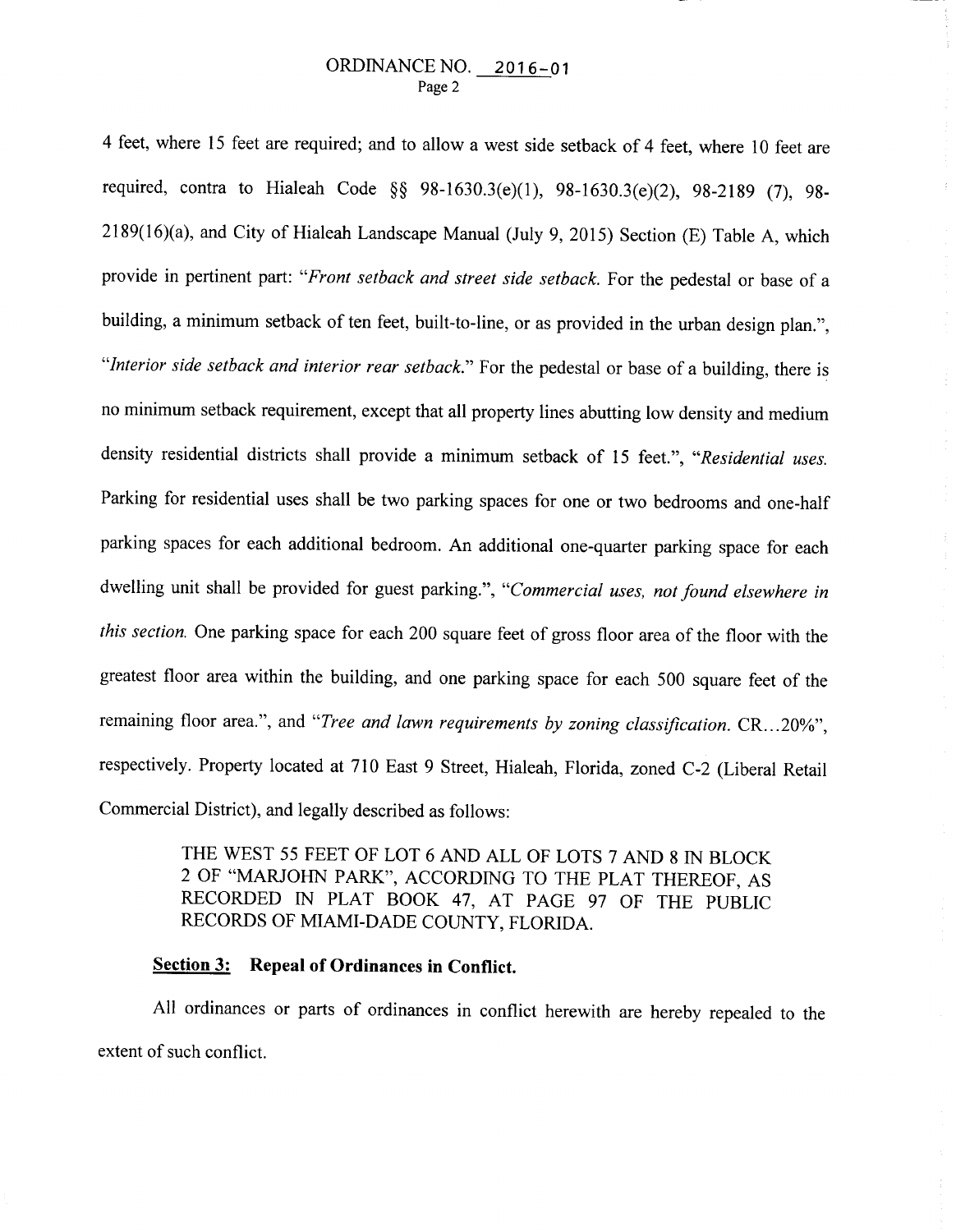4 feet, where 15 feet are required; and to allow a west side setback of 4 feet, where 10 feet are required, contra to Hialeah Code §§ 98-1630.3(e)(l), 98-1630.3(e)(2), 98-2189 (7), 98- 2189(16)(a), and City of Hialeah Landscape Manual (July 9, 2015) Section (E) Table A, which provide in pertinent part: *"Front setback and street side setback.* For the pedestal or base of <sup>a</sup> building, a minimum setback of ten feet, built-to-line, or as provided in the urban design plan.", *"Interior side setback and interior rear setback."* For the pedestal or base of a building, there is no minimum setback requirement, except that all property lines abutting low density and medium density residential districts shall provide a minimum setback of 15 feet.", *"Residential uses.*  Parking for residential uses shall be two parking spaces for one or two bedrooms and one-half parking spaces for each additional bedroom. An additional one-quarter parking space for each dwelling unit shall be provided for guest parking.", *"Commercial uses, not found elsewhere in this section.* One parking space for each 200 square feet of gross floor area of the floor with the greatest floor area within the building, and one parking space for each 500 square feet of the remaining floor area.", and "Tree and lawn requirements by zoning classification. CR...20%", respectively. Property located at 710 East 9 Street, Hialeah, Florida, zoned C-2 (Liberal Retail Commercial District), and legally described as follows:

> THE WEST 55 FEET OF LOT 6 AND ALL OF LOTS 7 AND 8 IN BLOCK 2 OF "MARJOHN PARK", ACCORDING TO THE PLAT THEREOF, AS RECORDED IN PLAT BOOK 47, AT PAGE 97 OF THE PUBLIC RECORDS OF MIAMI-DADE COUNTY, FLORIDA.

# **Section 3: Repeal of Ordinances in Conflict.**

All ordinances or parts of ordinances in conflict herewith are hereby repealed to the extent of such conflict.